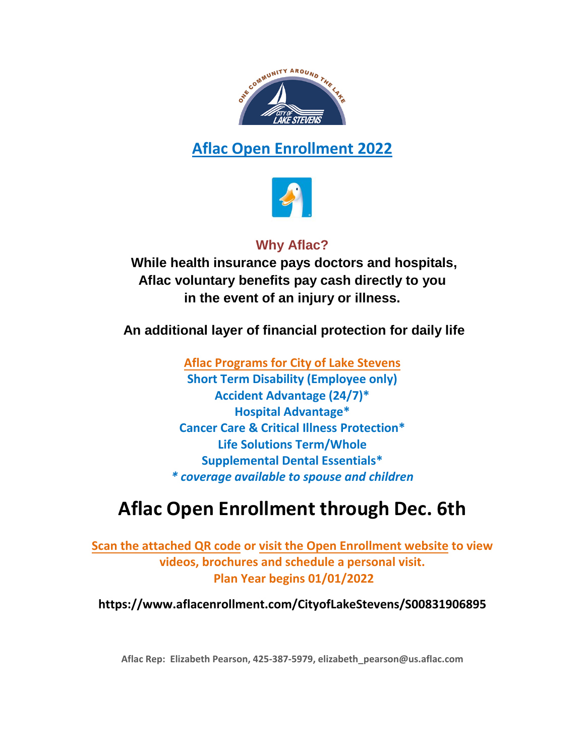

## **Aflac Open Enrollment 2022**



### **Why Aflac?**

 **While health insurance pays doctors and hospitals, Aflac voluntary benefits pay cash directly to you in the event of an injury or illness.** 

**An additional layer of financial protection for daily life**

**Aflac Programs for City of Lake Stevens Short Term Disability (Employee only) Accident Advantage (24/7)\* Hospital Advantage\* Cancer Care & Critical Illness Protection\* Life Solutions Term/Whole Supplemental Dental Essentials\***  *\* coverage available to spouse and children*

## **Aflac Open Enrollment through Dec. 6th**

**Scan the attached QR code or visit the Open Enrollment website to view videos, brochures and schedule a personal visit. Plan Year begins 01/01/2022**

**https://www.aflacenrollment.com/CityofLakeStevens/S00831906895** 

**Aflac Rep: Elizabeth Pearson, 425-387-5979, [elizabeth\\_pearson@us.aflac.com](mailto:elizabeth_pearson@us.aflac.com)**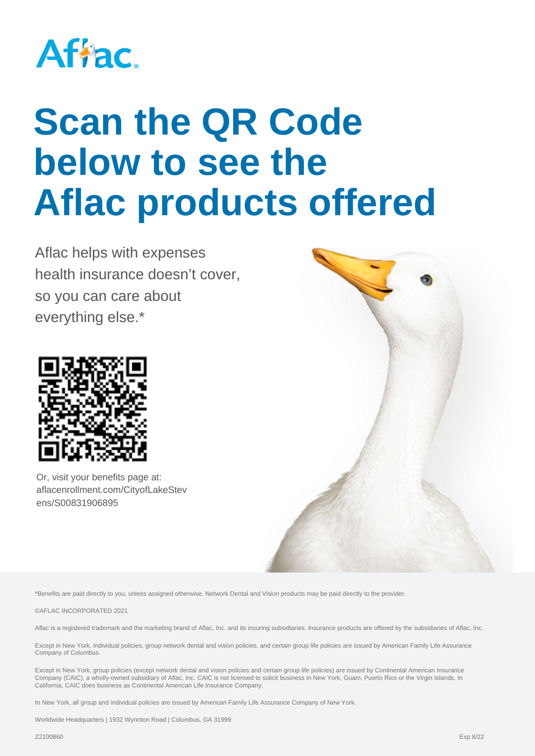

# **Scan the QR Code below to see the Aflac products offered**

Aflac helps with expenses health insurance doesn't cover, so you can care about everything else.\*



Or, visit your benefits page at: aflacenrollment.com/CityofLakeStev ens/S00831906895



\*Benefits are paid directly to you, unless assigned otherwise. Network Dental and Vision products may be paid directly to the provider.

©AFLAC INCORPORATED 2021

Aflac is a registered trademark and the marketing brand of Aflac. Inc. and its insuring subsidiaries, Insurance products are offered by the subsidiaries of Aflac, Inc.

Except in New York, individual policies, group network dental and vision policies, and certain group life policies are issued by American Family Life Assurance Company of Columbus.

Except in New York, group policies (except network dental and vision policies and certain group life policies) are issued by Continental American Insurance Company (CAIC), a wholly-owned subsidiary of Aflac, Inc. CAIC is not licensed to solicit business in New York, Guam, Puerto Rico or the Virgin Islands. In California, CAIC does business as Continental American Life Insurance Company.

In New York, all group and individual policies are issued by American Family Life Assurance Company of New York.

Worldwide Headquarters | 1932 Wynnton Road | Columbus, GA 31999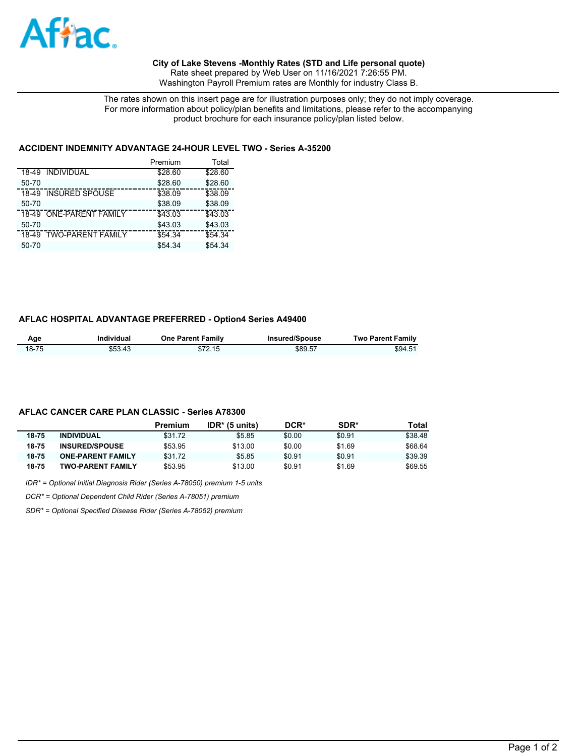

#### **City of Lake Stevens -Monthly Rates (STD and Life personal quote)**

Rate sheet prepared by Web User on 11/16/2021 7:26:55 PM. Washington Payroll Premium rates are Monthly for industry Class B.

The rates shown on this insert page are for illustration purposes only; they do not imply coverage. For more information about policy/plan benefits and limitations, please refer to the accompanying product brochure for each insurance policy/plan listed below.

#### **ACCIDENT INDEMNITY ADVANTAGE 24-HOUR LEVEL TWO - Series A-35200**

|                                   | Premium | Total   |
|-----------------------------------|---------|---------|
| 18-49 INDIVIDUAL                  | \$28.60 | \$28.60 |
| $50 - 70$                         | \$28.60 | \$28.60 |
| <b>INSURED SPOUSE</b><br>18-49    | \$38.09 | \$38.09 |
| $50 - 70$                         | \$38.09 | \$38.09 |
| <b>ONE-PARENT FAMILY</b><br>18-49 | \$43.03 | \$43.03 |
| 50-70                             | \$43.03 | \$43.03 |
| <b>TWO-PARENT FAMILY</b><br>18-49 | \$54.34 | \$54.34 |
| 50-70                             | \$54.34 | \$54.34 |

#### **AFLAC HOSPITAL ADVANTAGE PREFERRED - Option4 Series A49400**

| Age   | Individual | <b>One Parent Family</b> | Insured/Spouse | <b>Two Parent Family</b> |
|-------|------------|--------------------------|----------------|--------------------------|
| 18-75 | \$53.43    | \$72.15                  | \$89.57        | \$94.51                  |

#### **AFLAC CANCER CARE PLAN CLASSIC - Series A78300**

|       |                          | Premium | $IDR*$ (5 units) | DCR*   | <b>SDR*</b> | Total   |
|-------|--------------------------|---------|------------------|--------|-------------|---------|
| 18-75 | <b>INDIVIDUAL</b>        | \$31.72 | \$5.85           | \$0.00 | \$0.91      | \$38.48 |
| 18-75 | <b>INSURED/SPOUSE</b>    | \$53.95 | \$13.00          | \$0.00 | \$1.69      | \$68.64 |
| 18-75 | <b>ONE-PARENT FAMILY</b> | \$31.72 | \$5.85           | \$0.91 | \$0.91      | \$39.39 |
| 18-75 | <b>TWO-PARENT FAMILY</b> | \$53.95 | \$13.00          | \$0.91 | \$1.69      | \$69.55 |

*IDR\* = Optional Initial Diagnosis Rider (Series A-78050) premium 1-5 units*

*DCR\* = Optional Dependent Child Rider (Series A-78051) premium*

*SDR\* = Optional Specified Disease Rider (Series A-78052) premium*